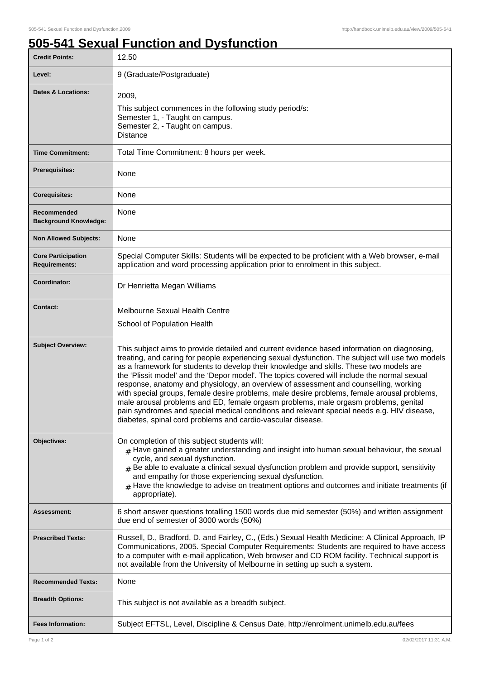## **505-541 Sexual Function and Dysfunction**

| <b>Credit Points:</b>                             | 12.50                                                                                                                                                                                                                                                                                                                                                                                                                                                                                                                                                                                                                                                                                                                                                                                                                                 |
|---------------------------------------------------|---------------------------------------------------------------------------------------------------------------------------------------------------------------------------------------------------------------------------------------------------------------------------------------------------------------------------------------------------------------------------------------------------------------------------------------------------------------------------------------------------------------------------------------------------------------------------------------------------------------------------------------------------------------------------------------------------------------------------------------------------------------------------------------------------------------------------------------|
| Level:                                            | 9 (Graduate/Postgraduate)                                                                                                                                                                                                                                                                                                                                                                                                                                                                                                                                                                                                                                                                                                                                                                                                             |
| <b>Dates &amp; Locations:</b>                     | 2009,<br>This subject commences in the following study period/s:<br>Semester 1, - Taught on campus.<br>Semester 2, - Taught on campus.<br><b>Distance</b>                                                                                                                                                                                                                                                                                                                                                                                                                                                                                                                                                                                                                                                                             |
| <b>Time Commitment:</b>                           | Total Time Commitment: 8 hours per week.                                                                                                                                                                                                                                                                                                                                                                                                                                                                                                                                                                                                                                                                                                                                                                                              |
| Prerequisites:                                    | None                                                                                                                                                                                                                                                                                                                                                                                                                                                                                                                                                                                                                                                                                                                                                                                                                                  |
| <b>Corequisites:</b>                              | None                                                                                                                                                                                                                                                                                                                                                                                                                                                                                                                                                                                                                                                                                                                                                                                                                                  |
| Recommended<br><b>Background Knowledge:</b>       | None                                                                                                                                                                                                                                                                                                                                                                                                                                                                                                                                                                                                                                                                                                                                                                                                                                  |
| <b>Non Allowed Subjects:</b>                      | None                                                                                                                                                                                                                                                                                                                                                                                                                                                                                                                                                                                                                                                                                                                                                                                                                                  |
| <b>Core Participation</b><br><b>Requirements:</b> | Special Computer Skills: Students will be expected to be proficient with a Web browser, e-mail<br>application and word processing application prior to enrolment in this subject.                                                                                                                                                                                                                                                                                                                                                                                                                                                                                                                                                                                                                                                     |
| Coordinator:                                      | Dr Henrietta Megan Williams                                                                                                                                                                                                                                                                                                                                                                                                                                                                                                                                                                                                                                                                                                                                                                                                           |
| <b>Contact:</b>                                   | Melbourne Sexual Health Centre<br>School of Population Health                                                                                                                                                                                                                                                                                                                                                                                                                                                                                                                                                                                                                                                                                                                                                                         |
| <b>Subject Overview:</b>                          | This subject aims to provide detailed and current evidence based information on diagnosing,<br>treating, and caring for people experiencing sexual dysfunction. The subject will use two models<br>as a framework for students to develop their knowledge and skills. These two models are<br>the 'Plissit model' and the 'Depor model'. The topics covered will include the normal sexual<br>response, anatomy and physiology, an overview of assessment and counselling, working<br>with special groups, female desire problems, male desire problems, female arousal problems,<br>male arousal problems and ED, female orgasm problems, male orgasm problems, genital<br>pain syndromes and special medical conditions and relevant special needs e.g. HIV disease,<br>diabetes, spinal cord problems and cardio-vascular disease. |
| Objectives:                                       | On completion of this subject students will:<br>$#$ Have gained a greater understanding and insight into human sexual behaviour, the sexual<br>cycle, and sexual dysfunction.<br>$#$ Be able to evaluate a clinical sexual dysfunction problem and provide support, sensitivity<br>and empathy for those experiencing sexual dysfunction.<br>$_{\rm H}$ Have the knowledge to advise on treatment options and outcomes and initiate treatments (if<br>appropriate).                                                                                                                                                                                                                                                                                                                                                                   |
| <b>Assessment:</b>                                | 6 short answer questions totalling 1500 words due mid semester (50%) and written assignment<br>due end of semester of 3000 words (50%)                                                                                                                                                                                                                                                                                                                                                                                                                                                                                                                                                                                                                                                                                                |
| <b>Prescribed Texts:</b>                          | Russell, D., Bradford, D. and Fairley, C., (Eds.) Sexual Health Medicine: A Clinical Approach, IP<br>Communications, 2005. Special Computer Requirements: Students are required to have access<br>to a computer with e-mail application, Web browser and CD ROM facility. Technical support is<br>not available from the University of Melbourne in setting up such a system.                                                                                                                                                                                                                                                                                                                                                                                                                                                         |
| <b>Recommended Texts:</b>                         | None                                                                                                                                                                                                                                                                                                                                                                                                                                                                                                                                                                                                                                                                                                                                                                                                                                  |
| <b>Breadth Options:</b>                           | This subject is not available as a breadth subject.                                                                                                                                                                                                                                                                                                                                                                                                                                                                                                                                                                                                                                                                                                                                                                                   |
| <b>Fees Information:</b>                          | Subject EFTSL, Level, Discipline & Census Date, http://enrolment.unimelb.edu.au/fees                                                                                                                                                                                                                                                                                                                                                                                                                                                                                                                                                                                                                                                                                                                                                  |